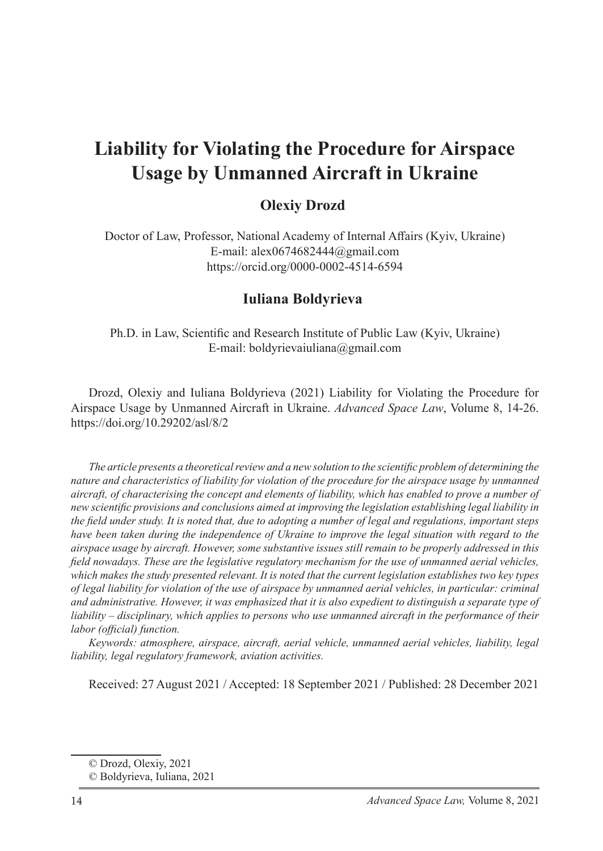# **Liability for Violating the Procedure for Airspace Usage by Unmanned Aircraft in Ukraine**

## **Olexiv Drozd**

Doctor of Law, Professor, National Academy of Internal Affairs (Kyiv, Ukraine) E-mail: alex0674682444@gmail.com https://orcid.org/0000-0002-4514-6594

#### **Iuliana Boldyrieva2**

Ph.D. in Law, Scientific and Research Institute of Public Law (Kyiv, Ukraine) E-mail: boldyrievaiuliana@gmail.com

Drozd, Olexiy and Iuliana Boldyrieva (2021) Liability for Violating the Procedure for Airspace Usage by Unmanned Aircraft in Ukraine. *Advanced Space Law*, Volume 8, 14-26. https://doi.org/10.29202/asl/8/2

*The article presents a theoretical review and a new solution to the scientific problem of determining the nature and characteristics of liability for violation of the procedure for the airspace usage by unmanned aircraft, of characterising the concept and elements of liability, which has enabled to prove a number of new scientific provisions and conclusions aimed at improving the legislation establishing legal liability in the field under study. It is noted that, due to adopting a number of legal and regulations, important steps have been taken during the independence of Ukraine to improve the legal situation with regard to the airspace usage by aircraft. However, some substantive issues still remain to be properly addressed in this field nowadays. These are the legislative regulatory mechanism for the use of unmanned aerial vehicles, which makes the study presented relevant. It is noted that the current legislation establishes two key types of legal liability for violation of the use of airspace by unmanned aerial vehicles, in particular: criminal and administrative. However, it was emphasized that it is also expedient to distinguish a separate type of liability – disciplinary, which applies to persons who use unmanned aircraft in the performance of their labor (official) function.*

*Keywords: atmosphere, airspace, aircraft, aerial vehicle, unmanned aerial vehicles, liability, legal liability, legal regulatory framework, aviation activities.*

Received: 27 August 2021 / Accepted: 18 September 2021 / Published: 28 December 2021

<sup>©</sup> Drozd, Olexiy, 2021

<sup>©</sup> Boldyrieva, Iuliana, 2021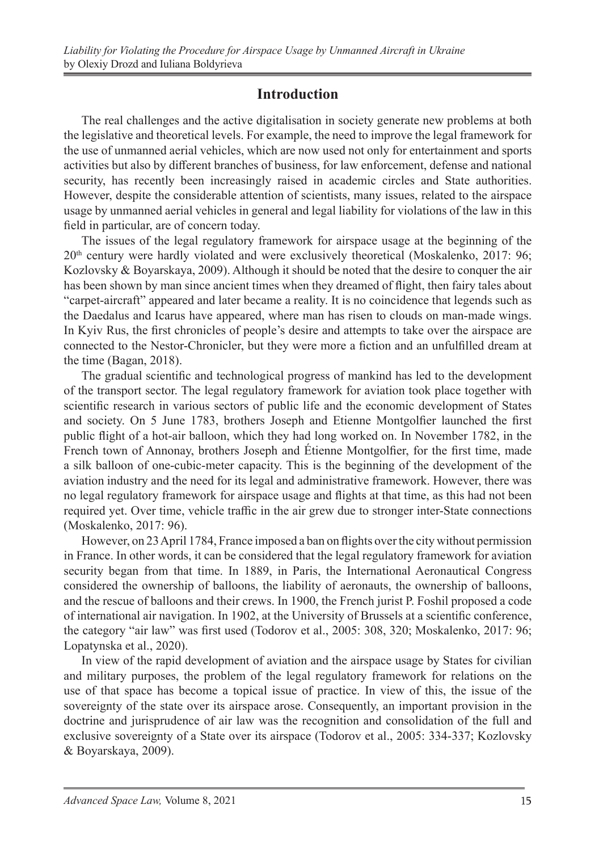## **Introduction**

The real challenges and the active digitalisation in society generate new problems at both the legislative and theoretical levels. For example, the need to improve the legal framework for the use of unmanned aerial vehicles, which are now used not only for entertainment and sports activities but also by different branches of business, for law enforcement, defense and national security, has recently been increasingly raised in academic circles and State authorities. However, despite the considerable attention of scientists, many issues, related to the airspace usage by unmanned aerial vehicles in general and legal liability for violations of the law in this field in particular, are of concern today.

The issues of the legal regulatory framework for airspace usage at the beginning of the 20<sup>th</sup> century were hardly violated and were exclusively theoretical (Moskalenko, 2017: 96; Kozlovsky & Boyarskaya, 2009). Although it should be noted that the desire to conquer the air has been shown by man since ancient times when they dreamed of flight, then fairy tales about "carpet-aircraft" appeared and later became a reality. It is no coincidence that legends such as the Daedalus and Icarus have appeared, where man has risen to clouds on man-made wings. In Kyiv Rus, the first chronicles of people's desire and attempts to take over the airspace are connected to the Nestor-Chronicler, but they were more a fiction and an unfulfilled dream at the time (Bagan, 2018).

The gradual scientific and technological progress of mankind has led to the development of the transport sector. The legal regulatory framework for aviation took place together with scientific research in various sectors of public life and the economic development of States and society. On 5 June 1783, brothers Joseph and Etienne Montgolfier launched the first public flight of a hot-air balloon, which they had long worked on. In November 1782, in the French town of Annonay, brothers Joseph and Étienne Montgolfier, for the first time, made a silk balloon of one-cubic-meter capacity. This is the beginning of the development of the aviation industry and the need for its legal and administrative framework. However, there was no legal regulatory framework for airspace usage and flights at that time, as this had not been required yet. Over time, vehicle traffic in the air grew due to stronger inter-State connections (Moskalenko, 2017: 96).

However, on 23 April 1784, France imposed a ban on flights over the city without permission in France. In other words, it can be considered that the legal regulatory framework for aviation security began from that time. In 1889, in Paris, the International Aeronautical Congress considered the ownership of balloons, the liability of aeronauts, the ownership of balloons, and the rescue of balloons and their crews. In 1900, the French jurist P. Foshil proposed a code of international air navigation. In 1902, at the University of Brussels at a scientific conference, the category "air law" was first used (Todorov et al., 2005: 308, 320; Moskalenko, 2017: 96; Lopatynska et al., 2020).

In view of the rapid development of aviation and the airspace usage by States for civilian and military purposes, the problem of the legal regulatory framework for relations on the use of that space has become a topical issue of practice. In view of this, the issue of the sovereignty of the state over its airspace arose. Consequently, an important provision in the doctrine and jurisprudence of air law was the recognition and consolidation of the full and exclusive sovereignty of a State over its airspace (Todorov et al., 2005: 334-337; Kozlovsky & Boyarskaya, 2009).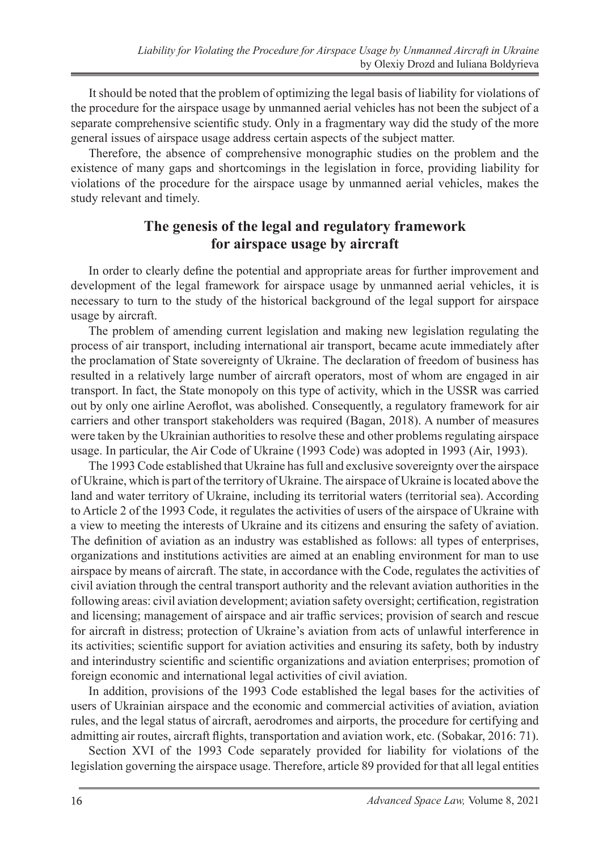It should be noted that the problem of optimizing the legal basis of liability for violations of the procedure for the airspace usage by unmanned aerial vehicles has not been the subject of a separate comprehensive scientific study. Only in a fragmentary way did the study of the more general issues of airspace usage address certain aspects of the subject matter.

Therefore, the absence of comprehensive monographic studies on the problem and the existence of many gaps and shortcomings in the legislation in force, providing liability for violations of the procedure for the airspace usage by unmanned aerial vehicles, makes the study relevant and timely.

## **The genesis of the legal and regulatory framework for airspace usage by aircraft**

In order to clearly define the potential and appropriate areas for further improvement and development of the legal framework for airspace usage by unmanned aerial vehicles, it is necessary to turn to the study of the historical background of the legal support for airspace usage by aircraft.

The problem of amending current legislation and making new legislation regulating the process of air transport, including international air transport, became acute immediately after the proclamation of State sovereignty of Ukraine. The declaration of freedom of business has resulted in a relatively large number of aircraft operators, most of whom are engaged in air transport. In fact, the State monopoly on this type of activity, which in the USSR was carried out by only one airline Aeroflot, was abolished. Consequently, a regulatory framework for air carriers and other transport stakeholders was required (Bagan, 2018). A number of measures were taken by the Ukrainian authorities to resolve these and other problems regulating airspace usage. In particular, the Air Code of Ukraine (1993 Code) was adopted in 1993 (Air, 1993).

The 1993 Code established that Ukraine has full and exclusive sovereignty over the airspace of Ukraine, which is part of the territory of Ukraine. The airspace of Ukraine is located above the land and water territory of Ukraine, including its territorial waters (territorial sea). According to Article 2 of the 1993 Code, it regulates the activities of users of the airspace of Ukraine with a view to meeting the interests of Ukraine and its citizens and ensuring the safety of aviation. The definition of aviation as an industry was established as follows: all types of enterprises, organizations and institutions activities are aimed at an enabling environment for man to use airspace by means of aircraft. The state, in accordance with the Code, regulates the activities of civil aviation through the central transport authority and the relevant aviation authorities in the following areas: civil aviation development; aviation safety oversight; certification, registration and licensing; management of airspace and air traffic services; provision of search and rescue for aircraft in distress; protection of Ukraine's aviation from acts of unlawful interference in its activities; scientific support for aviation activities and ensuring its safety, both by industry and interindustry scientific and scientific organizations and aviation enterprises; promotion of foreign economic and international legal activities of civil aviation.

In addition, provisions of the 1993 Code established the legal bases for the activities of users of Ukrainian airspace and the economic and commercial activities of aviation, aviation rules, and the legal status of aircraft, aerodromes and airports, the procedure for certifying and admitting air routes, aircraft flights, transportation and aviation work, etc. (Sobakar, 2016: 71).

Section XVI of the 1993 Code separately provided for liability for violations of the legislation governing the airspace usage. Therefore, article 89 provided for that all legal entities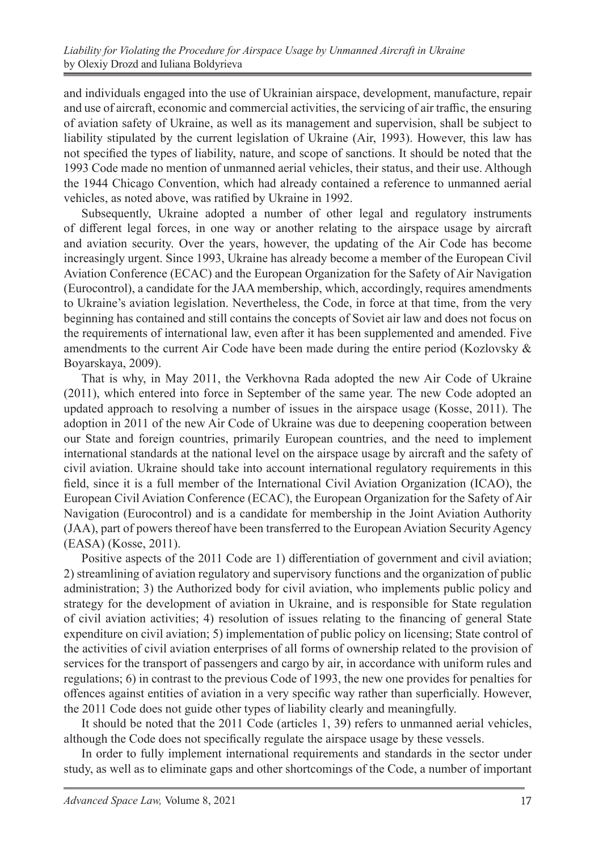and individuals engaged into the use of Ukrainian airspace, development, manufacture, repair and use of aircraft, economic and commercial activities, the servicing of air traffic, the ensuring of aviation safety of Ukraine, as well as its management and supervision, shall be subject to liability stipulated by the current legislation of Ukraine (Air, 1993). However, this law has not specified the types of liability, nature, and scope of sanctions. It should be noted that the 1993 Code made no mention of unmanned aerial vehicles, their status, and their use. Although the 1944 Chicago Convention, which had already contained a reference to unmanned aerial vehicles, as noted above, was ratified by Ukraine in 1992.

Subsequently, Ukraine adopted a number of other legal and regulatory instruments of different legal forces, in one way or another relating to the airspace usage by aircraft and aviation security. Over the years, however, the updating of the Air Code has become increasingly urgent. Since 1993, Ukraine has already become a member of the European Civil Aviation Conference (ECAC) and the European Organization for the Safety of Air Navigation (Eurocontrol), a candidate for the JAA membership, which, accordingly, requires amendments to Ukraine's aviation legislation. Nevertheless, the Code, in force at that time, from the very beginning has contained and still contains the concepts of Soviet air law and does not focus on the requirements of international law, even after it has been supplemented and amended. Five amendments to the current Air Code have been made during the entire period (Kozlovsky  $\&$ Boyarskaya, 2009).

That is why, in May 2011, the Verkhovna Rada adopted the new Air Code of Ukraine (2011), which entered into force in September of the same year. The new Code adopted an updated approach to resolving a number of issues in the airspace usage (Kosse, 2011). The adoption in 2011 of the new Air Code of Ukraine was due to deepening cooperation between our State and foreign countries, primarily European countries, and the need to implement international standards at the national level on the airspace usage by aircraft and the safety of civil aviation. Ukraine should take into account international regulatory requirements in this field, since it is a full member of the International Civil Aviation Organization (ICAO), the European Civil Aviation Conference (ECAC), the European Organization for the Safety of Air Navigation (Eurocontrol) and is a candidate for membership in the Joint Aviation Authority (JAA), part of powers thereof have been transferred to the European Aviation Security Agency (EASA) (Kosse, 2011).

Positive aspects of the 2011 Code are 1) differentiation of government and civil aviation; 2) streamlining of aviation regulatory and supervisory functions and the organization of public administration; 3) the Authorized body for civil aviation, who implements public policy and strategy for the development of aviation in Ukraine, and is responsible for State regulation of civil aviation activities; 4) resolution of issues relating to the financing of general State expenditure on civil aviation; 5) implementation of public policy on licensing; State control of the activities of civil aviation enterprises of all forms of ownership related to the provision of services for the transport of passengers and cargo by air, in accordance with uniform rules and regulations; 6) in contrast to the previous Code of 1993, the new one provides for penalties for offences against entities of aviation in a very specific way rather than superficially. However, the 2011 Code does not guide other types of liability clearly and meaningfully.

It should be noted that the 2011 Code (articles 1, 39) refers to unmanned aerial vehicles, although the Code does not specifically regulate the airspace usage by these vessels.

In order to fully implement international requirements and standards in the sector under study, as well as to eliminate gaps and other shortcomings of the Code, a number of important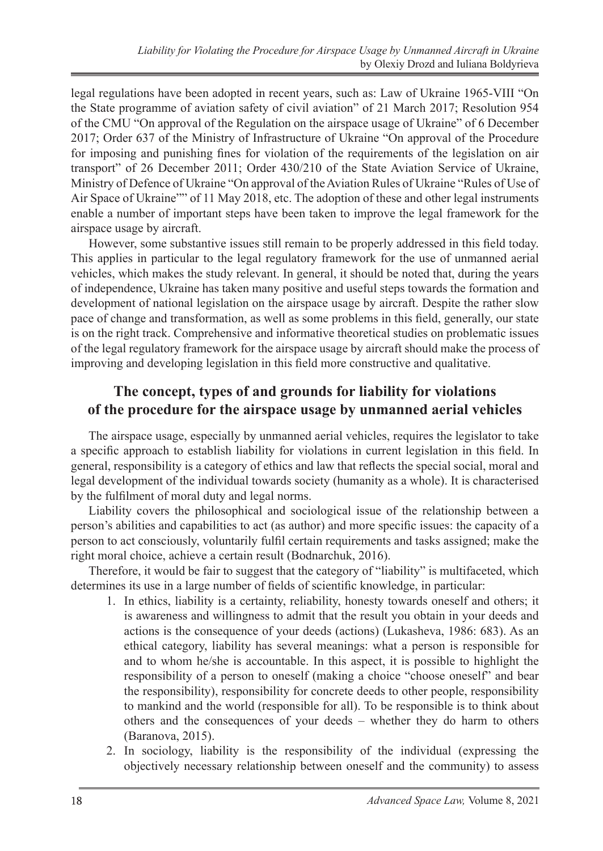legal regulations have been adopted in recent years, such as: Law of Ukraine 1965-VIII "On the State programme of aviation safety of civil aviation" of 21 March 2017; Resolution 954 of the CMU "On approval of the Regulation on the airspace usage of Ukraine" of 6 December 2017; Order 637 of the Ministry of Infrastructure of Ukraine "On approval of the Procedure for imposing and punishing fines for violation of the requirements of the legislation on air transport" of 26 December 2011; Order 430/210 of the State Aviation Service of Ukraine, Ministry of Defence of Ukraine "On approval of the Aviation Rules of Ukraine "Rules of Use of Air Space of Ukraine"" of 11 May 2018, etc. The adoption of these and other legal instruments enable a number of important steps have been taken to improve the legal framework for the airspace usage by aircraft.

However, some substantive issues still remain to be properly addressed in this field today. This applies in particular to the legal regulatory framework for the use of unmanned aerial vehicles, which makes the study relevant. In general, it should be noted that, during the years of independence, Ukraine has taken many positive and useful steps towards the formation and development of national legislation on the airspace usage by aircraft. Despite the rather slow pace of change and transformation, as well as some problems in this field, generally, our state is on the right track. Comprehensive and informative theoretical studies on problematic issues of the legal regulatory framework for the airspace usage by aircraft should make the process of improving and developing legislation in this field more constructive and qualitative.

## **The concept, types of and grounds for liability for violations of the procedure for the airspace usage by unmanned aerial vehicles**

The airspace usage, especially by unmanned aerial vehicles, requires the legislator to take a specific approach to establish liability for violations in current legislation in this field. In general, responsibility is a category of ethics and law that reflects the special social, moral and legal development of the individual towards society (humanity as a whole). It is characterised by the fulfilment of moral duty and legal norms.

Liability covers the philosophical and sociological issue of the relationship between a person's abilities and capabilities to act (as author) and more specific issues: the capacity of a person to act consciously, voluntarily fulfil certain requirements and tasks assigned; make the right moral choice, achieve a certain result (Bodnarchuk, 2016).

Therefore, it would be fair to suggest that the category of "liability" is multifaceted, which determines its use in a large number of fields of scientific knowledge, in particular:

- 1. In ethics, liability is a certainty, reliability, honesty towards oneself and others; it is awareness and willingness to admit that the result you obtain in your deeds and actions is the consequence of your deeds (actions) (Lukasheva, 1986: 683). As an ethical category, liability has several meanings: what a person is responsible for and to whom he/she is accountable. In this aspect, it is possible to highlight the responsibility of a person to oneself (making a choice "choose oneself" and bear the responsibility), responsibility for concrete deeds to other people, responsibility to mankind and the world (responsible for all). To be responsible is to think about others and the consequences of your deeds – whether they do harm to others (Baranova, 2015).
- 2. In sociology, liability is the responsibility of the individual (expressing the objectively necessary relationship between oneself and the community) to assess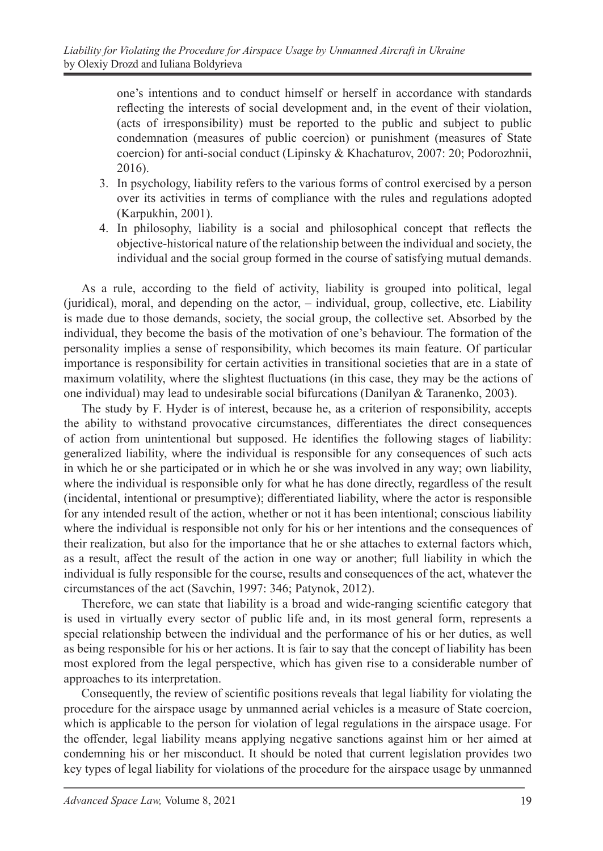one's intentions and to conduct himself or herself in accordance with standards reflecting the interests of social development and, in the event of their violation, (acts of irresponsibility) must be reported to the public and subject to public condemnation (measures of public coercion) or punishment (measures of State coercion) for anti-social conduct (Lipinsky & Khachaturov, 2007: 20; Podorozhnii, 2016).

- 3. In psychology, liability refers to the various forms of control exercised by a person over its activities in terms of compliance with the rules and regulations adopted (Karpukhin, 2001).
- 4. In philosophy, liability is a social and philosophical concept that reflects the objective-historical nature of the relationship between the individual and society, the individual and the social group formed in the course of satisfying mutual demands.

As a rule, according to the field of activity, liability is grouped into political, legal (juridical), moral, and depending on the actor, – individual, group, collective, etc. Liability is made due to those demands, society, the social group, the collective set. Absorbed by the individual, they become the basis of the motivation of one's behaviour. The formation of the personality implies a sense of responsibility, which becomes its main feature. Of particular importance is responsibility for certain activities in transitional societies that are in a state of maximum volatility, where the slightest fluctuations (in this case, they may be the actions of one individual) may lead to undesirable social bifurcations (Danilyan & Taranenko, 2003).

The study by F. Hyder is of interest, because he, as a criterion of responsibility, accepts the ability to withstand provocative circumstances, differentiates the direct consequences of action from unintentional but supposed. He identifies the following stages of liability: generalized liability, where the individual is responsible for any consequences of such acts in which he or she participated or in which he or she was involved in any way; own liability, where the individual is responsible only for what he has done directly, regardless of the result (incidental, intentional or presumptive); differentiated liability, where the actor is responsible for any intended result of the action, whether or not it has been intentional; conscious liability where the individual is responsible not only for his or her intentions and the consequences of their realization, but also for the importance that he or she attaches to external factors which, as a result, affect the result of the action in one way or another; full liability in which the individual is fully responsible for the course, results and consequences of the act, whatever the circumstances of the act (Savchin, 1997: 346; Patynok, 2012).

Therefore, we can state that liability is a broad and wide-ranging scientific category that is used in virtually every sector of public life and, in its most general form, represents a special relationship between the individual and the performance of his or her duties, as well as being responsible for his or her actions. It is fair to say that the concept of liability has been most explored from the legal perspective, which has given rise to a considerable number of approaches to its interpretation.

Consequently, the review of scientific positions reveals that legal liability for violating the procedure for the airspace usage by unmanned aerial vehicles is a measure of State coercion, which is applicable to the person for violation of legal regulations in the airspace usage. For the offender, legal liability means applying negative sanctions against him or her aimed at condemning his or her misconduct. It should be noted that current legislation provides two key types of legal liability for violations of the procedure for the airspace usage by unmanned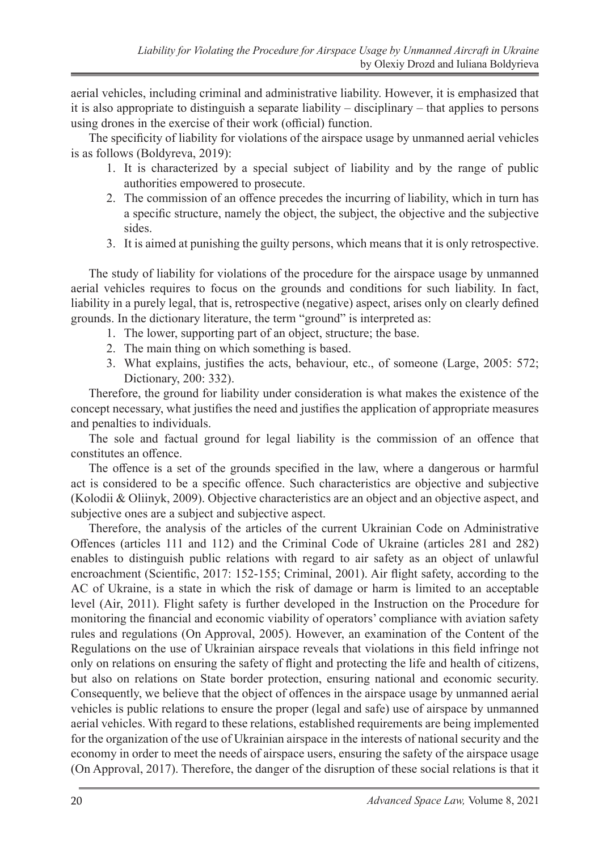aerial vehicles, including criminal and administrative liability. However, it is emphasized that it is also appropriate to distinguish a separate liability – disciplinary – that applies to persons using drones in the exercise of their work (official) function.

The specificity of liability for violations of the airspace usage by unmanned aerial vehicles is as follows (Boldyreva, 2019):

- 1. It is characterized by a special subject of liability and by the range of public authorities empowered to prosecute.
- 2. The commission of an offence precedes the incurring of liability, which in turn has a specific structure, namely the object, the subject, the objective and the subjective sides.
- 3. It is aimed at punishing the guilty persons, which means that it is only retrospective.

The study of liability for violations of the procedure for the airspace usage by unmanned aerial vehicles requires to focus on the grounds and conditions for such liability. In fact, liability in a purely legal, that is, retrospective (negative) aspect, arises only on clearly defined grounds. In the dictionary literature, the term "ground" is interpreted as:

- 1. The lower, supporting part of an object, structure; the base.
- 2. The main thing on which something is based.
- 3. What explains, justifies the acts, behaviour, etc., of someone (Large, 2005: 572; Dictionary, 200: 332).

Therefore, the ground for liability under consideration is what makes the existence of the concept necessary, what justifies the need and justifies the application of appropriate measures and penalties to individuals.

The sole and factual ground for legal liability is the commission of an offence that constitutes an offence.

The offence is a set of the grounds specified in the law, where a dangerous or harmful act is considered to be a specific offence. Such characteristics are objective and subjective (Kolodii & Oliinyk, 2009). Objective characteristics are an object and an objective aspect, and subjective ones are a subject and subjective aspect.

Therefore, the analysis of the articles of the current Ukrainian Code on Administrative Offences (articles 111 and 112) and the Criminal Code of Ukraine (articles 281 and 282) enables to distinguish public relations with regard to air safety as an object of unlawful encroachment (Scientific, 2017: 152-155; Criminal, 2001). Air flight safety, according to the AC of Ukraine, is a state in which the risk of damage or harm is limited to an acceptable level (Air, 2011). Flight safety is further developed in the Instruction on the Procedure for monitoring the financial and economic viability of operators' compliance with aviation safety rules and regulations (On Approval, 2005). However, an examination of the Content of the Regulations on the use of Ukrainian airspace reveals that violations in this field infringe not only on relations on ensuring the safety of flight and protecting the life and health of citizens, but also on relations on State border protection, ensuring national and economic security. Consequently, we believe that the object of offences in the airspace usage by unmanned aerial vehicles is public relations to ensure the proper (legal and safe) use of airspace by unmanned aerial vehicles. With regard to these relations, established requirements are being implemented for the organization of the use of Ukrainian airspace in the interests of national security and the economy in order to meet the needs of airspace users, ensuring the safety of the airspace usage (On Approval, 2017). Therefore, the danger of the disruption of these social relations is that it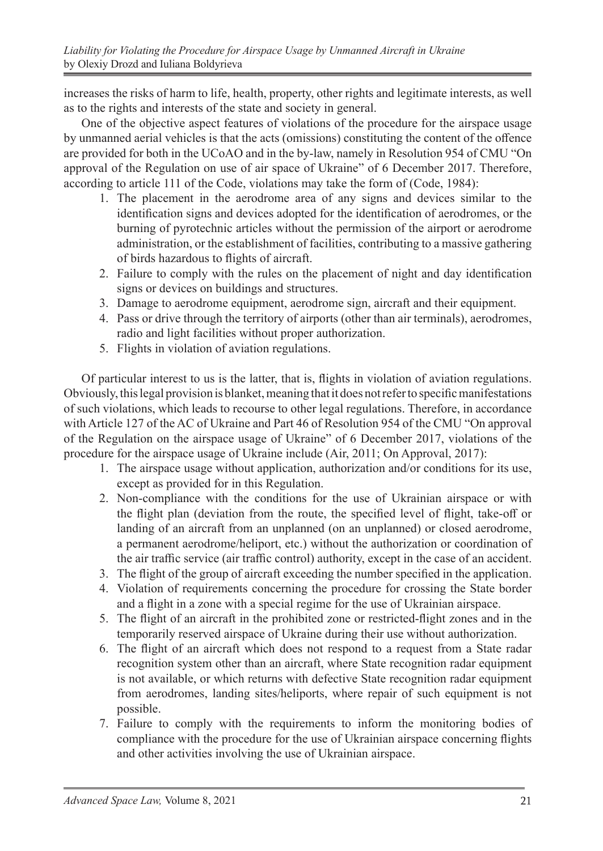increases the risks of harm to life, health, property, other rights and legitimate interests, as well as to the rights and interests of the state and society in general.

One of the objective aspect features of violations of the procedure for the airspace usage by unmanned aerial vehicles is that the acts (omissions) constituting the content of the offence are provided for both in the UCoAO and in the by-law, namely in Resolution 954 of CMU "On approval of the Regulation on use of air space of Ukraine" of 6 December 2017. Therefore, according to article 111 of the Code, violations may take the form of (Code, 1984):

- 1. The placement in the aerodrome area of any signs and devices similar to the identification signs and devices adopted for the identification of aerodromes, or the burning of pyrotechnic articles without the permission of the airport or aerodrome administration, or the establishment of facilities, contributing to a massive gathering of birds hazardous to flights of aircraft.
- 2. Failure to comply with the rules on the placement of night and day identification signs or devices on buildings and structures.
- 3. Damage to aerodrome equipment, aerodrome sign, aircraft and their equipment.
- 4. Pass or drive through the territory of airports (other than air terminals), aerodromes, radio and light facilities without proper authorization.
- 5. Flights in violation of aviation regulations.

Of particular interest to us is the latter, that is, flights in violation of aviation regulations. Obviously, this legal provision is blanket, meaning that it does not refer to specific manifestations of such violations, which leads to recourse to other legal regulations. Therefore, in accordance with Article 127 of the AC of Ukraine and Part 46 of Resolution 954 of the CMU "On approval of the Regulation on the airspace usage of Ukraine" of 6 December 2017, violations of the procedure for the airspace usage of Ukraine include (Air, 2011; On Approval, 2017):

- 1. The airspace usage without application, authorization and/or conditions for its use, except as provided for in this Regulation.
- 2. Non-compliance with the conditions for the use of Ukrainian airspace or with the flight plan (deviation from the route, the specified level of flight, take-off or landing of an aircraft from an unplanned (on an unplanned) or closed aerodrome, a permanent aerodrome/heliport, etc.) without the authorization or coordination of the air traffic service (air traffic control) authority, except in the case of an accident.
- 3. The flight of the group of aircraft exceeding the number specified in the application.
- 4. Violation of requirements concerning the procedure for crossing the State border and a flight in a zone with a special regime for the use of Ukrainian airspace.
- 5. The flight of an aircraft in the prohibited zone or restricted-flight zones and in the temporarily reserved airspace of Ukraine during their use without authorization.
- 6. The flight of an aircraft which does not respond to a request from a State radar recognition system other than an aircraft, where State recognition radar equipment is not available, or which returns with defective State recognition radar equipment from aerodromes, landing sites/heliports, where repair of such equipment is not possible.
- 7. Failure to comply with the requirements to inform the monitoring bodies of compliance with the procedure for the use of Ukrainian airspace concerning flights and other activities involving the use of Ukrainian airspace.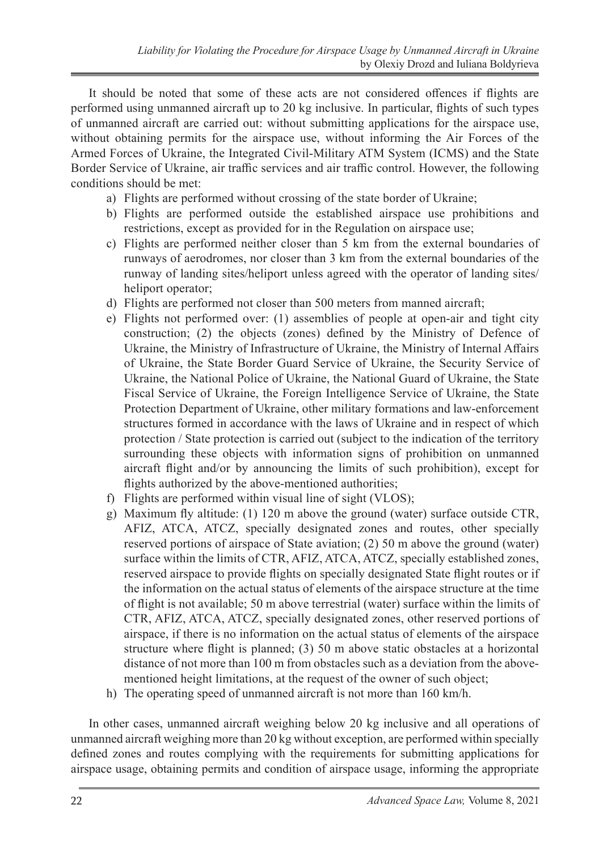It should be noted that some of these acts are not considered offences if flights are performed using unmanned aircraft up to 20 kg inclusive. In particular, flights of such types of unmanned aircraft are carried out: without submitting applications for the airspace use, without obtaining permits for the airspace use, without informing the Air Forces of the Armed Forces of Ukraine, the Integrated Civil-Military ATM System (ICMS) and the State Border Service of Ukraine, air traffic services and air traffic control. However, the following conditions should be met:

- a) Flights are performed without crossing of the state border of Ukraine;
- b) Flights are performed outside the established airspace use prohibitions and restrictions, except as provided for in the Regulation on airspace use;
- c) Flights are performed neither closer than 5 km from the external boundaries of runways of aerodromes, nor closer than 3 km from the external boundaries of the runway of landing sites/heliport unless agreed with the operator of landing sites/ heliport operator;
- d) Flights are performed not closer than 500 meters from manned aircraft;
- e) Flights not performed over: (1) assemblies of people at open-air and tight city construction; (2) the objects (zones) defined by the Ministry of Defence of Ukraine, the Ministry of Infrastructure of Ukraine, the Ministry of Internal Affairs of Ukraine, the State Border Guard Service of Ukraine, the Security Service of Ukraine, the National Police of Ukraine, the National Guard of Ukraine, the State Fiscal Service of Ukraine, the Foreign Intelligence Service of Ukraine, the State Protection Department of Ukraine, other military formations and law-enforcement structures formed in accordance with the laws of Ukraine and in respect of which protection / State protection is carried out (subject to the indication of the territory surrounding these objects with information signs of prohibition on unmanned aircraft flight and/or by announcing the limits of such prohibition), except for flights authorized by the above-mentioned authorities;
- f) Flights are performed within visual line of sight (VLOS);
- g) Maximum fly altitude: (1) 120 m above the ground (water) surface outside CTR, AFIZ, ATCA, ATCZ, specially designated zones and routes, other specially reserved portions of airspace of State aviation; (2) 50 m above the ground (water) surface within the limits of CTR, AFIZ, ATCA, ATCZ, specially established zones, reserved airspace to provide flights on specially designated State flight routes or if the information on the actual status of elements of the airspace structure at the time of flight is not available; 50 m above terrestrial (water) surface within the limits of CTR, AFIZ, ATCA, ATCZ, specially designated zones, other reserved portions of airspace, if there is no information on the actual status of elements of the airspace structure where flight is planned; (3) 50 m above static obstacles at a horizontal distance of not more than 100 m from obstacles such as a deviation from the abovementioned height limitations, at the request of the owner of such object;
- h) The operating speed of unmanned aircraft is not more than 160 km/h.

In other cases, unmanned aircraft weighing below 20 kg inclusive and all operations of unmanned aircraft weighing more than 20 kg without exception, are performed within specially defined zones and routes complying with the requirements for submitting applications for airspace usage, obtaining permits and condition of airspace usage, informing the appropriate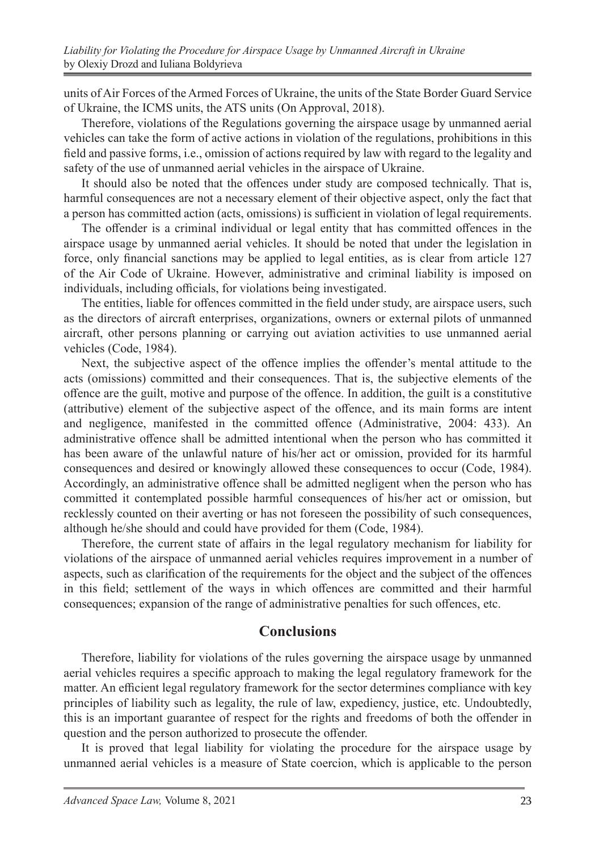units of Air Forces of the Armed Forces of Ukraine, the units of the State Border Guard Service of Ukraine, the ICMS units, the ATS units (On Approval, 2018).

Therefore, violations of the Regulations governing the airspace usage by unmanned aerial vehicles can take the form of active actions in violation of the regulations, prohibitions in this field and passive forms, i.e., omission of actions required by law with regard to the legality and safety of the use of unmanned aerial vehicles in the airspace of Ukraine.

It should also be noted that the offences under study are composed technically. That is, harmful consequences are not a necessary element of their objective aspect, only the fact that a person has committed action (acts, omissions) is sufficient in violation of legal requirements.

The offender is a criminal individual or legal entity that has committed offences in the airspace usage by unmanned aerial vehicles. It should be noted that under the legislation in force, only financial sanctions may be applied to legal entities, as is clear from article 127 of the Air Code of Ukraine. However, administrative and criminal liability is imposed on individuals, including officials, for violations being investigated.

The entities, liable for offences committed in the field under study, are airspace users, such as the directors of aircraft enterprises, organizations, owners or external pilots of unmanned aircraft, other persons planning or carrying out aviation activities to use unmanned aerial vehicles (Code, 1984).

Next, the subjective aspect of the offence implies the offender's mental attitude to the acts (omissions) committed and their consequences. That is, the subjective elements of the offence are the guilt, motive and purpose of the offence. In addition, the guilt is a constitutive (attributive) element of the subjective aspect of the offence, and its main forms are intent and negligence, manifested in the committed offence (Administrative, 2004: 433). An administrative offence shall be admitted intentional when the person who has committed it has been aware of the unlawful nature of his/her act or omission, provided for its harmful consequences and desired or knowingly allowed these consequences to occur (Code, 1984). Accordingly, an administrative offence shall be admitted negligent when the person who has committed it contemplated possible harmful consequences of his/her act or omission, but recklessly counted on their averting or has not foreseen the possibility of such consequences, although he/she should and could have provided for them (Code, 1984).

Therefore, the current state of affairs in the legal regulatory mechanism for liability for violations of the airspace of unmanned aerial vehicles requires improvement in a number of aspects, such as clarification of the requirements for the object and the subject of the offences in this field; settlement of the ways in which offences are committed and their harmful consequences; expansion of the range of administrative penalties for such offences, etc.

## **Conclusions**

Therefore, liability for violations of the rules governing the airspace usage by unmanned aerial vehicles requires a specific approach to making the legal regulatory framework for the matter. An efficient legal regulatory framework for the sector determines compliance with key principles of liability such as legality, the rule of law, expediency, justice, etc. Undoubtedly, this is an important guarantee of respect for the rights and freedoms of both the offender in question and the person authorized to prosecute the offender.

It is proved that legal liability for violating the procedure for the airspace usage by unmanned aerial vehicles is a measure of State coercion, which is applicable to the person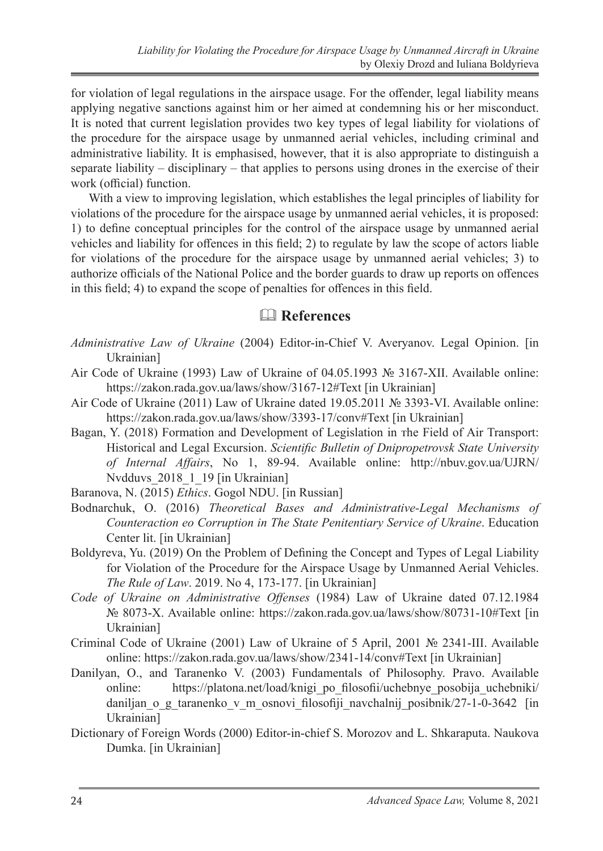for violation of legal regulations in the airspace usage. For the offender, legal liability means applying negative sanctions against him or her aimed at condemning his or her misconduct. It is noted that current legislation provides two key types of legal liability for violations of the procedure for the airspace usage by unmanned aerial vehicles, including criminal and administrative liability. It is emphasised, however, that it is also appropriate to distinguish a separate liability – disciplinary – that applies to persons using drones in the exercise of their work (official) function.

With a view to improving legislation, which establishes the legal principles of liability for violations of the procedure for the airspace usage by unmanned aerial vehicles, it is proposed: 1) to define conceptual principles for the control of the airspace usage by unmanned aerial vehicles and liability for offences in this field; 2) to regulate by law the scope of actors liable for violations of the procedure for the airspace usage by unmanned aerial vehicles; 3) to authorize officials of the National Police and the border guards to draw up reports on offences in this field; 4) to expand the scope of penalties for offences in this field.

## & **References**

- *Administrative Law of Ukraine* (2004) Editor-in-Chief V. Averyanov. Legal Opinion. [in Ukrainian]
- Air Code of Ukraine (1993) Law of Ukraine of 04.05.1993 № 3167-XII. Available online: https://zakon.rada.gov.ua/laws/show/3167-12#Text [in Ukrainian]
- Air Code of Ukraine (2011) Law of Ukraine dated 19.05.2011 № 3393-VI. Available online: https://zakon.rada.gov.ua/laws/show/3393-17/conv#Text [in Ukrainian]
- Bagan, Y. (2018) Formation and Development оf Legislation іn тhe Field оf Air Transport: Historical аnd Legal Excursion. *Scientific Bulletin of Dnipropetrovsk State University of Internal Affairs*, No 1, 89-94. Available online: http://nbuv.gov.ua/UJRN/ Nvdduvs 2018 1 19 [in Ukrainian]
- Baranova, N. (2015) *Ethics*. Gogol NDU. [in Russian]
- Bodnarchuk, O. (2016) *Theoretical Bases аnd Administrative-Legal Mechanisms оf Counteraction еo Corruption іn The State Penitentiary Service оf Ukraine*. Education Center lit. [in Ukrainian]
- Boldyreva, Yu. (2019) On the Problem of Defining the Concept and Types of Legal Liability for Violation of the Procedure for the Airspace Usage by Unmanned Aerial Vehicles. *The Rule of Law*. 2019. No 4, 173-177. [in Ukrainian]
- *Code of Ukraine on Administrative Offenses* (1984) Law of Ukraine dated 07.12.1984 № 8073-Х. Available online: https://zakon.rada.gov.ua/laws/show/80731-10#Text [in Ukrainian]
- Criminal Code of Ukraine (2001) Law of Ukraine of 5 April, 2001 № 2341-III. Available online: https://zakon.rada.gov.ua/laws/show/2341-14/conv#Text [in Ukrainian]
- Danilyan, O., and Taranenko V. (2003) Fundamentals of Philosophy. Pravo. Available online: https://platona.net/load/knigi\_po\_filosofii/uchebnye\_posobija\_uchebniki/ daniljan o g taranenko v m osnovi filosofiji navchalnij posibnik/27-1-0-3642 [in Ukrainian]
- Dictionary of Foreign Words (2000) Editor-in-chief S. Morozov and L. Shkaraputa. Naukova Dumka. [in Ukrainian]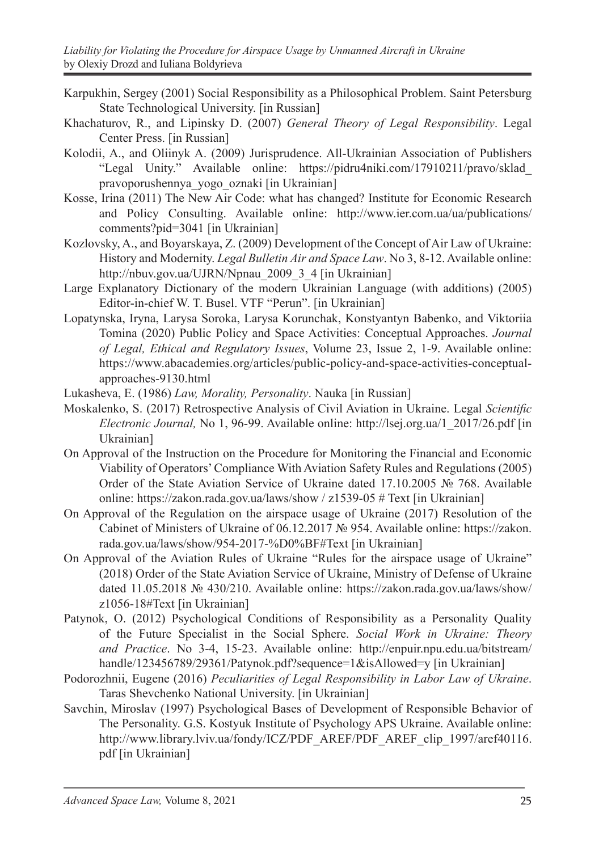- Karpukhin, Sergey (2001) Social Responsibility as a Philosophical Problem. Saint Petersburg State Technological University. [in Russian]
- Khachaturov, R., and Lipinsky D. (2007) *General Theory of Legal Responsibility*. Legal Center Press. [in Russian]
- Kolodii, A., and Oliinyk A. (2009) Jurisprudence. All-Ukrainian Association of Publishers "Legal Unity." Available online: https://pidru4niki.com/17910211/pravo/sklad\_ pravoporushennya\_yogo\_oznaki [in Ukrainian]
- Kosse, Irina (2011) The New Air Code: what has changed? Institute for Economic Research and Policy Consulting. Available online: http://www.ier.com.ua/ua/publications/ comments?pid=3041 [in Ukrainian]
- Kozlovsky, A., and Boyarskaya, Z. (2009) Development of the Concept of Air Law of Ukraine: History and Modernity. *Legal Bulletin Air and Space Law*. No 3, 8-12. Available online: http://nbuv.gov.ua/UJRN/Npnau\_2009\_3\_4 [in Ukrainian]
- Large Explanatory Dictionary of the modern Ukrainian Language (with additions) (2005) Editor-in-chief W. T. Busel. VTF "Perun". [in Ukrainian]
- Lopatynska, Iryna, Larysa Soroka, Larysa Korunchak, Konstyantyn Babenko, and Viktoriia Tomina (2020) Public Policy and Space Activities: Conceptual Approaches. *Journal of Legal, Ethical and Regulatory Issues*, Volume 23, Issue 2, 1-9. Available online: https://www.abacademies.org/articles/public-policy-and-space-activities-conceptualapproaches-9130.html
- Lukasheva, E. (1986) *Law, Morality, Personality*. Nauka [in Russian]
- Moskalenko, S. (2017) Retrospective Analysis оf Civil Aviation in Ukraine. Legal *Scientific Electronic Journal,* No 1, 96-99. Available online: http://lsej.org.ua/1\_2017/26.pdf [in Ukrainian]
- On Approval of the Instruction on the Procedure for Monitoring the Financial and Economic Viability of Operators' Compliance With Aviation Safety Rules and Regulations (2005) Order of the State Aviation Service of Ukraine dated 17.10.2005 № 768. Available online: https://zakon.rada.gov.ua/laws/show / z1539-05 # Text [in Ukrainian]
- On Approval of the Regulation on the airspace usage of Ukraine (2017) Resolution of the Cabinet of Ministers of Ukraine of 06.12.2017 № 954. Available online: https://zakon. rada.gov.ua/laws/show/954-2017-%D0%BF#Text [in Ukrainian]
- On Approval of the Aviation Rules of Ukraine "Rules for the airspace usage of Ukraine" (2018) Order of the State Aviation Service of Ukraine, Ministry of Defense of Ukraine dated 11.05.2018 № 430/210. Available online: https://zakon.rada.gov.ua/laws/show/ z1056-18#Text [in Ukrainian]
- Patynok, O. (2012) Psychological Conditions of Responsibility as a Personality Quality of the Future Specialist in the Social Sphere. *Social Work in Ukraine: Theory and Practice*. No 3-4, 15-23. Available online: http://enpuir.npu.edu.ua/bitstream/ handle/123456789/29361/Patynok.pdf?sequence=1&isAllowed=y [in Ukrainian]
- Podorozhnii, Eugene (2016) *Peculiarities of Legal Responsibility in Labor Law of Ukraine*. Taras Shevchenko National University. [in Ukrainian]
- Savchin, Miroslav (1997) Psychological Bases of Development of Responsible Behavior of The Personality. G.S. Kostyuk Institute of Psychology APS Ukraine. Available online: http://www.library.lviv.ua/fondy/ICZ/PDF\_AREF/PDF\_AREF\_clip\_1997/aref40116. pdf [in Ukrainian]